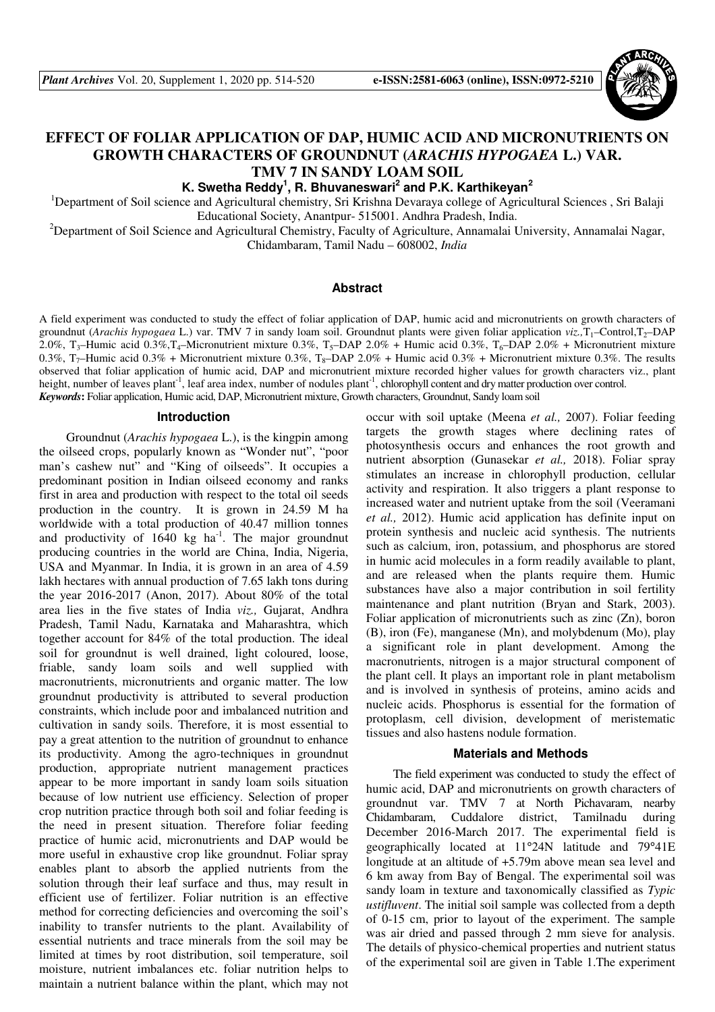

# **EFFECT OF FOLIAR APPLICATION OF DAP, HUMIC ACID AND MICRONUTRIENTS ON GROWTH CHARACTERS OF GROUNDNUT (***ARACHIS HYPOGAEA* **L.) VAR. TMV 7 IN SANDY LOAM SOIL**

**K. Swetha Reddy<sup>1</sup> , R. Bhuvaneswari<sup>2</sup> and P.K. Karthikeyan<sup>2</sup>**

<sup>1</sup>Department of Soil science and Agricultural chemistry, Sri Krishna Devaraya college of Agricultural Sciences, Sri Balaji Educational Society, Anantpur- 515001. Andhra Pradesh, India.

<sup>2</sup>Department of Soil Science and Agricultural Chemistry, Faculty of Agriculture, Annamalai University, Annamalai Nagar, Chidambaram, Tamil Nadu – 608002, *India* 

#### **Abstract**

A field experiment was conducted to study the effect of foliar application of DAP, humic acid and micronutrients on growth characters of groundnut (*Arachis hypogaea* L.) var. TMV 7 in sandy loam soil. Groundnut plants were given foliar application *viz.,*T1–Control,T2–DAP 2.0%, T<sub>3</sub>–Humic acid 0.3%,T<sub>4</sub>–Micronutrient mixture 0.3%, T<sub>5</sub>–DAP 2.0% + Humic acid 0.3%, T<sub>6</sub>–DAP 2.0% + Micronutrient mixture 0.3%,  $T_7$ –Humic acid 0.3% + Micronutrient mixture 0.3%,  $T_8$ –DAP 2.0% + Humic acid 0.3% + Micronutrient mixture 0.3%. The results observed that foliar application of humic acid, DAP and micronutrient mixture recorded higher values for growth characters viz., plant height, number of leaves plant<sup>-1</sup>, leaf area index, number of nodules plant<sup>-1</sup>, chlorophyll content and dry matter production over control. *Keywords***:** Foliar application, Humic acid, DAP, Micronutrient mixture, Growth characters, Groundnut, Sandy loam soil

#### **Introduction**

Groundnut (*Arachis hypogaea* L.), is the kingpin among the oilseed crops, popularly known as "Wonder nut", "poor man's cashew nut" and "King of oilseeds". It occupies a predominant position in Indian oilseed economy and ranks first in area and production with respect to the total oil seeds production in the country. It is grown in 24.59 M ha worldwide with a total production of 40.47 million tonnes and productivity of  $1640 \text{ kg}$  ha<sup>-1</sup>. The major groundnut producing countries in the world are China, India, Nigeria, USA and Myanmar. In India, it is grown in an area of 4.59 lakh hectares with annual production of 7.65 lakh tons during the year 2016-2017 (Anon, 2017). About 80% of the total area lies in the five states of India *viz.,* Gujarat, Andhra Pradesh, Tamil Nadu, Karnataka and Maharashtra, which together account for 84% of the total production. The ideal soil for groundnut is well drained, light coloured, loose, friable, sandy loam soils and well supplied with macronutrients, micronutrients and organic matter. The low groundnut productivity is attributed to several production constraints, which include poor and imbalanced nutrition and cultivation in sandy soils. Therefore, it is most essential to pay a great attention to the nutrition of groundnut to enhance its productivity. Among the agro-techniques in groundnut production, appropriate nutrient management practices appear to be more important in sandy loam soils situation because of low nutrient use efficiency. Selection of proper crop nutrition practice through both soil and foliar feeding is the need in present situation. Therefore foliar feeding practice of humic acid, micronutrients and DAP would be more useful in exhaustive crop like groundnut. Foliar spray enables plant to absorb the applied nutrients from the solution through their leaf surface and thus, may result in efficient use of fertilizer. Foliar nutrition is an effective method for correcting deficiencies and overcoming the soil's inability to transfer nutrients to the plant. Availability of essential nutrients and trace minerals from the soil may be limited at times by root distribution, soil temperature, soil moisture, nutrient imbalances etc. foliar nutrition helps to maintain a nutrient balance within the plant, which may not

occur with soil uptake (Meena *et al.,* 2007). Foliar feeding targets the growth stages where declining rates of photosynthesis occurs and enhances the root growth and nutrient absorption (Gunasekar *et al.,* 2018). Foliar spray stimulates an increase in chlorophyll production, cellular activity and respiration. It also triggers a plant response to increased water and nutrient uptake from the soil (Veeramani *et al.,* 2012). Humic acid application has definite input on protein synthesis and nucleic acid synthesis. The nutrients such as calcium, iron, potassium, and phosphorus are stored in humic acid molecules in a form readily available to plant, and are released when the plants require them. Humic substances have also a major contribution in soil fertility maintenance and plant nutrition (Bryan and Stark, 2003). Foliar application of micronutrients such as zinc (Zn), boron (B), iron (Fe), manganese (Mn), and molybdenum (Mo), play a significant role in plant development. Among the macronutrients, nitrogen is a major structural component of the plant cell. It plays an important role in plant metabolism and is involved in synthesis of proteins, amino acids and nucleic acids. Phosphorus is essential for the formation of protoplasm, cell division, development of meristematic tissues and also hastens nodule formation.

#### **Materials and Methods**

The field experiment was conducted to study the effect of humic acid, DAP and micronutrients on growth characters of groundnut var. TMV 7 at North Pichavaram, nearby Chidambaram, Cuddalore district, Tamilnadu during December 2016-March 2017. The experimental field is geographically located at 11°24N latitude and 79°41E longitude at an altitude of +5.79m above mean sea level and 6 km away from Bay of Bengal. The experimental soil was sandy loam in texture and taxonomically classified as *Typic ustifluvent*. The initial soil sample was collected from a depth of 0-15 cm, prior to layout of the experiment. The sample was air dried and passed through 2 mm sieve for analysis. The details of physico-chemical properties and nutrient status of the experimental soil are given in Table 1.The experiment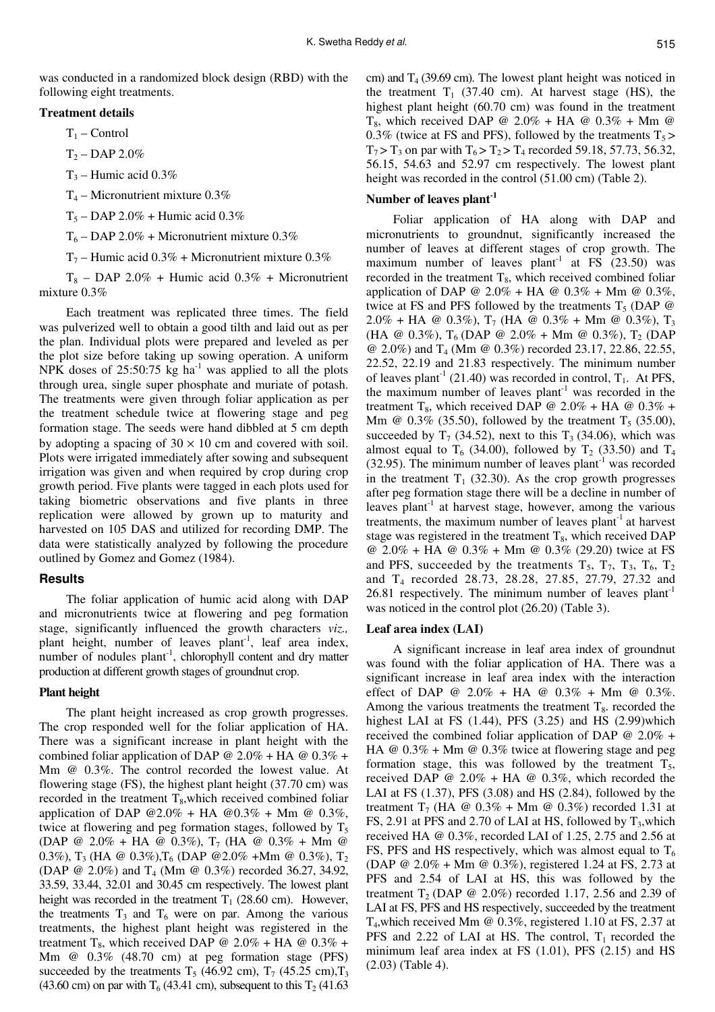### **Treatment details**

 $T_1$  – Control

 $T_2 - DAP 2.0%$ 

 $T_3$  – Humic acid 0.3%

 $T_4$  – Micronutrient mixture 0.3%

 $T_5 - DAP 2.0\% + H$ umic acid 0.3%

 $T_6$  – DAP 2.0% + Micronutrient mixture 0.3%

 $T_7$  – Humic acid 0.3% + Micronutrient mixture 0.3%

 $T_8$  – DAP 2.0% + Humic acid 0.3% + Micronutrient mixture 0.3%

Each treatment was replicated three times. The field was pulverized well to obtain a good tilth and laid out as per the plan. Individual plots were prepared and leveled as per the plot size before taking up sowing operation. A uniform NPK doses of  $25:50:75$  kg ha<sup>-1</sup> was applied to all the plots through urea, single super phosphate and muriate of potash. The treatments were given through foliar application as per the treatment schedule twice at flowering stage and peg formation stage. The seeds were hand dibbled at 5 cm depth by adopting a spacing of  $30 \times 10$  cm and covered with soil. Plots were irrigated immediately after sowing and subsequent irrigation was given and when required by crop during crop growth period. Five plants were tagged in each plots used for taking biometric observations and five plants in three replication were allowed by grown up to maturity and harvested on 105 DAS and utilized for recording DMP. The data were statistically analyzed by following the procedure outlined by Gomez and Gomez (1984).

### **Results**

The foliar application of humic acid along with DAP and micronutrients twice at flowering and peg formation stage, significantly influenced the growth characters *viz.,*  plant height, number of leaves plant<sup>-1</sup>, leaf area index, number of nodules  $plant^{-1}$ , chlorophyll content and dry matter production at different growth stages of groundnut crop.

### **Plant height**

The plant height increased as crop growth progresses. The crop responded well for the foliar application of HA. There was a significant increase in plant height with the combined foliar application of DAP  $@ 2.0\% + HA @ 0.3\% +$ Mm @ 0.3%. The control recorded the lowest value. At flowering stage (FS), the highest plant height (37.70 cm) was recorded in the treatment  $T_s$ , which received combined foliar application of DAP  $@2.0\% + HA @0.3\% + Mm @0.3\%$ , twice at flowering and peg formation stages, followed by  $T_5$ (DAP @ 2.0% + HA @ 0.3%),  $T_7$  (HA @ 0.3% + Mm @ 0.3%),  $T_3$  (HA @ 0.3%),  $T_6$  (DAP @ 2.0% +Mm @ 0.3%),  $T_2$ (DAP @ 2.0%) and T<sub>4</sub> (Mm @ 0.3%) recorded 36.27, 34.92, 33.59, 33.44, 32.01 and 30.45 cm respectively. The lowest plant height was recorded in the treatment  $T_1$  (28.60 cm). However, the treatments  $T_3$  and  $T_6$  were on par. Among the various treatments, the highest plant height was registered in the treatment T<sub>8</sub>, which received DAP @ 2.0% + HA @ 0.3% + Mm @ 0.3% (48.70 cm) at peg formation stage (PFS) succeeded by the treatments T<sub>5</sub> (46.92 cm), T<sub>7</sub> (45.25 cm), T<sub>3</sub> (43.60 cm) on par with  $T<sub>6</sub>$  (43.41 cm), subsequent to this  $T<sub>2</sub>$  (41.63

cm) and  $T_4$  (39.69 cm). The lowest plant height was noticed in the treatment  $T_1$  (37.40 cm). At harvest stage (HS), the highest plant height (60.70 cm) was found in the treatment  $T_8$ , which received DAP @ 2.0% + HA @ 0.3% + Mm @ 0.3% (twice at FS and PFS), followed by the treatments  $T_5$  >  $T_7$  >  $T_3$  on par with  $T_6$  >  $T_2$  >  $T_4$  recorded 59.18, 57.73, 56.32, 56.15, 54.63 and 52.97 cm respectively. The lowest plant height was recorded in the control  $(51.00 \text{ cm})$  (Table 2).

### **Number of leaves plant-1**

Foliar application of HA along with DAP and micronutrients to groundnut, significantly increased the number of leaves at different stages of crop growth. The maximum number of leaves plant<sup>-1</sup> at FS  $(23.50)$  was recorded in the treatment  $T_8$ , which received combined foliar application of DAP @ 2.0% + HA @ 0.3% + Mm @ 0.3%, twice at FS and PFS followed by the treatments  $T_5$  (DAP  $\omega$ ) 2.0% + HA @ 0.3%),  $T_7$  (HA @ 0.3% + Mm @ 0.3%),  $T_3$ (HA @ 0.3%),  $T_6$  (DAP @ 2.0% + Mm @ 0.3%),  $T_2$  (DAP @ 2.0%) and T4 (Mm @ 0.3%) recorded 23.17, 22.86, 22.55, 22.52, 22.19 and 21.83 respectively. The minimum number of leaves plant<sup>-1</sup> (21.40) was recorded in control,  $T_1$ . At PFS, the maximum number of leaves plant<sup>-1</sup> was recorded in the treatment T<sub>8</sub>, which received DAP @ 2.0% + HA @ 0.3% + Mm @  $0.3\%$  (35.50), followed by the treatment  $T_5$  (35.00), succeeded by  $T_7$  (34.52), next to this  $T_3$  (34.06), which was almost equal to  $T_6$  (34.00), followed by  $T_2$  (33.50) and  $T_4$  $(32.95)$ . The minimum number of leaves plant<sup>-1</sup> was recorded in the treatment  $T_1$  (32.30). As the crop growth progresses after peg formation stage there will be a decline in number of leaves plant<sup>-1</sup> at harvest stage, however, among the various treatments, the maximum number of leaves plant<sup>-1</sup> at harvest stage was registered in the treatment  $T_s$ , which received DAP @ 2.0% + HA @ 0.3% + Mm @ 0.3% (29.20) twice at FS and PFS, succeeded by the treatments  $T_5$ ,  $T_7$ ,  $T_3$ ,  $T_6$ ,  $T_2$ and T4 recorded 28.73, 28.28, 27.85, 27.79, 27.32 and 26.81 respectively. The minimum number of leaves plant<sup>-1</sup> was noticed in the control plot (26.20) (Table 3).

### **Leaf area index (LAI)**

A significant increase in leaf area index of groundnut was found with the foliar application of HA. There was a significant increase in leaf area index with the interaction effect of DAP @  $2.0\%$  + HA @  $0.3\%$  + Mm @  $0.3\%$ . Among the various treatments the treatment  $T_8$ . recorded the highest LAI at FS (1.44), PFS (3.25) and HS (2.99)which received the combined foliar application of DAP  $@ 2.0\% +$ HA  $@$  0.3% + Mm  $@$  0.3% twice at flowering stage and peg formation stage, this was followed by the treatment  $T_5$ , received DAP  $@ 2.0\% + HA @ 0.3\%$ , which recorded the LAI at FS (1.37), PFS (3.08) and HS (2.84), followed by the treatment T<sub>7</sub> (HA @  $0.3\%$  + Mm @  $0.3\%$ ) recorded 1.31 at FS, 2.91 at PFS and 2.70 of LAI at HS, followed by  $T_3$ , which received HA @ 0.3%, recorded LAI of 1.25, 2.75 and 2.56 at FS, PFS and HS respectively, which was almost equal to  $T_6$ (DAP @ 2.0% + Mm @ 0.3%), registered 1.24 at FS, 2.73 at PFS and 2.54 of LAI at HS, this was followed by the treatment  $T_2$  (DAP @ 2.0%) recorded 1.17, 2.56 and 2.39 of LAI at FS, PFS and HS respectively, succeeded by the treatment T4,which received Mm @ 0.3%, registered 1.10 at FS, 2.37 at PFS and 2.22 of LAI at HS. The control,  $T_1$  recorded the minimum leaf area index at FS (1.01), PFS (2.15) and HS (2.03) (Table 4).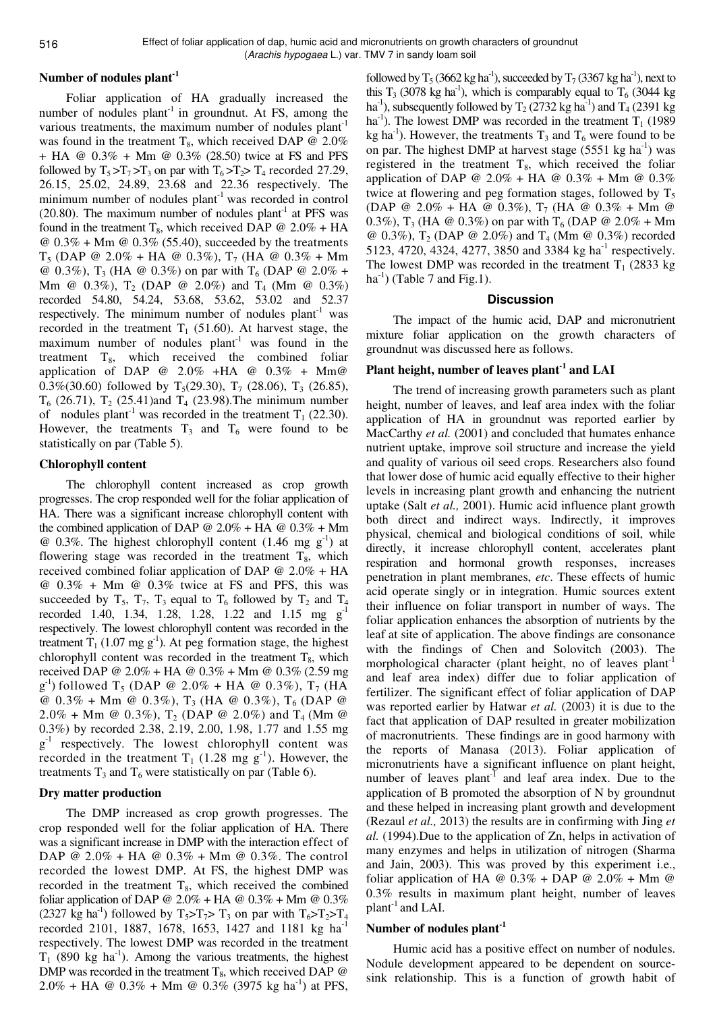# **Number of nodules plant-1**

Foliar application of HA gradually increased the number of nodules  $plant<sup>-1</sup>$  in groundnut. At FS, among the various treatments, the maximum number of nodules plant<sup>-1</sup> was found in the treatment  $T_8$ , which received DAP @ 2.0% + HA @ 0.3% + Mm @ 0.3% (28.50) twice at FS and PFS followed by  $T_5 > T_7 > T_3$  on par with  $T_6 > T_2 > T_4$  recorded 27.29, 26.15, 25.02, 24.89, 23.68 and 22.36 respectively. The minimum number of nodules  $plant^{-1}$  was recorded in control  $(20.80)$ . The maximum number of nodules plant<sup>-1</sup> at PFS was found in the treatment T<sub>8</sub>, which received DAP  $@ 2.0\% + HA$  $\omega$  0.3% + Mm  $\omega$  0.3% (55.40), succeeded by the treatments  $T_5$  (DAP @ 2.0% + HA @ 0.3%),  $T_7$  (HA @ 0.3% + Mm @ 0.3%),  $T_3$  (HA @ 0.3%) on par with  $T_6$  (DAP @ 2.0% + Mm @  $0.3\%$ ), T<sub>2</sub> (DAP @ 2.0%) and T<sub>4</sub> (Mm @  $0.3\%$ ) recorded 54.80, 54.24, 53.68, 53.62, 53.02 and 52.37 respectively. The minimum number of nodules  $plant^{-1}$  was recorded in the treatment  $T_1$  (51.60). At harvest stage, the maximum number of nodules  $plant^{-1}$  was found in the treatment  $T_8$ , which received the combined foliar application of DAP @  $2.0\%$  +HA @  $0.3\%$  + Mm@ 0.3%(30.60) followed by T<sub>5</sub>(29.30), T<sub>7</sub> (28.06), T<sub>3</sub> (26.85),  $T_6$  (26.71),  $T_2$  (25.41)and  $T_4$  (23.98). The minimum number of nodules plant<sup>-1</sup> was recorded in the treatment  $T_1$  (22.30). However, the treatments  $T_3$  and  $T_6$  were found to be statistically on par (Table 5).

### **Chlorophyll content**

The chlorophyll content increased as crop growth progresses. The crop responded well for the foliar application of HA. There was a significant increase chlorophyll content with the combined application of DAP  $@ 2.0\% + HA @ 0.3\% + Mm$ @ 0.3%. The highest chlorophyll content  $(1.46 \text{ mg g}^{-1})$  at flowering stage was recorded in the treatment  $T_8$ , which received combined foliar application of DAP @ 2.0% + HA  $@ 0.3\% + Mm @ 0.3\%$  twice at FS and PFS, this was succeeded by  $T_5$ ,  $T_7$ ,  $T_3$  equal to  $T_6$  followed by  $T_2$  and  $T_4$ recorded 1.40, 1.34, 1.28, 1.28, 1.22 and 1.15 mg g<sup>-1</sup> respectively. The lowest chlorophyll content was recorded in the treatment  $T_1$  (1.07 mg g<sup>-1</sup>). At peg formation stage, the highest chlorophyll content was recorded in the treatment  $T_8$ , which received DAP @ 2.0% + HA @ 0.3% + Mm @ 0.3% (2.59 mg  $g^{-1}$ ) followed T<sub>5</sub> (DAP @ 2.0% + HA @ 0.3%), T<sub>7</sub> (HA @  $0.3\%$  + Mm @  $0.3\%$ ), T<sub>3</sub> (HA @  $0.3\%$ ), T<sub>6</sub> (DAP @ 2.0% + Mm @ 0.3%),  $T_2$  (DAP @ 2.0%) and  $T_4$  (Mm @ 0.3%) by recorded 2.38, 2.19, 2.00, 1.98, 1.77 and 1.55 mg g<sup>-1</sup> respectively. The lowest chlorophyll content was recorded in the treatment  $T_1$  (1.28 mg g<sup>-1</sup>). However, the treatments  $T_3$  and  $T_6$  were statistically on par (Table 6).

# **Dry matter production**

The DMP increased as crop growth progresses. The crop responded well for the foliar application of HA. There was a significant increase in DMP with the interaction effect of DAP @ 2.0% + HA @  $0.3%$  + Mm @ 0.3%. The control recorded the lowest DMP. At FS, the highest DMP was recorded in the treatment  $T_8$ , which received the combined foliar application of DAP @  $2.0\%$  + HA @  $0.3\%$  + Mm @  $0.3\%$ (2327 kg ha<sup>-1</sup>) followed by  $T_5 > T_7 > T_3$  on par with  $T_6 > T_2 > T_4$ recorded 2101, 1887, 1678, 1653, 1427 and 1181 kg ha<sup>-1</sup> respectively. The lowest DMP was recorded in the treatment  $T_1$  (890 kg ha<sup>-1</sup>). Among the various treatments, the highest DMP was recorded in the treatment  $T_8$ , which received DAP  $\omega$  $2.0\%$  + HA @  $0.3\%$  + Mm @  $0.3\%$  (3975 kg ha<sup>-1</sup>) at PFS,

followed by  $T_5$  (3662 kg ha<sup>-1</sup>), succeeded by  $T_7$  (3367 kg ha<sup>-1</sup>), next to this  $T_3$  (3078 kg ha<sup>-1</sup>), which is comparably equal to  $T_6$  (3044 kg ha<sup>-1</sup>), subsequently followed by  $T_2$  (2732 kg ha<sup>-1</sup>) and  $T_4$  (2391 kg ha<sup>-1</sup>). The lowest DMP was recorded in the treatment  $T_1$  (1989) kg ha<sup>-1</sup>). However, the treatments  $T_3$  and  $T_6$  were found to be on par. The highest DMP at harvest stage  $(5551 \text{ kg ha}^{-1})$  was registered in the treatment  $T_8$ , which received the foliar application of DAP @ 2.0% + HA @ 0.3% + Mm @ 0.3% twice at flowering and peg formation stages, followed by  $T_5$ (DAP @ 2.0% + HA @ 0.3%),  $T_7$  (HA @ 0.3% + Mm @ 0.3%),  $T_3$  (HA @ 0.3%) on par with  $T_6$  (DAP @ 2.0% + Mm @ 0.3%),  $T_2$  (DAP @ 2.0%) and  $T_4$  (Mm @ 0.3%) recorded 5123, 4720, 4324, 4277, 3850 and 3384 kg ha<sup>-1</sup> respectively. The lowest DMP was recorded in the treatment  $T_1$  (2833 kg)  $ha^{-1}$ ) (Table 7 and Fig.1).

### **Discussion**

The impact of the humic acid, DAP and micronutrient mixture foliar application on the growth characters of groundnut was discussed here as follows.

# **Plant height, number of leaves plant-1 and LAI**

The trend of increasing growth parameters such as plant height, number of leaves, and leaf area index with the foliar application of HA in groundnut was reported earlier by MacCarthy *et al.* (2001) and concluded that humates enhance nutrient uptake, improve soil structure and increase the yield and quality of various oil seed crops. Researchers also found that lower dose of humic acid equally effective to their higher levels in increasing plant growth and enhancing the nutrient uptake (Salt *et al.,* 2001). Humic acid influence plant growth both direct and indirect ways. Indirectly, it improves physical, chemical and biological conditions of soil, while directly, it increase chlorophyll content, accelerates plant respiration and hormonal growth responses, increases penetration in plant membranes, *etc*. These effects of humic acid operate singly or in integration. Humic sources extent their influence on foliar transport in number of ways. The foliar application enhances the absorption of nutrients by the leaf at site of application. The above findings are consonance with the findings of Chen and Solovitch (2003). The morphological character (plant height, no of leaves plant<sup>-1</sup> and leaf area index) differ due to foliar application of fertilizer. The significant effect of foliar application of DAP was reported earlier by Hatwar *et al.* (2003) it is due to the fact that application of DAP resulted in greater mobilization of macronutrients. These findings are in good harmony with the reports of Manasa (2013). Foliar application of micronutrients have a significant influence on plant height, number of leaves  $plant^{-1}$  and leaf area index. Due to the application of B promoted the absorption of N by groundnut and these helped in increasing plant growth and development (Rezaul *et al.,* 2013) the results are in confirming with Jing *et al.* (1994).Due to the application of Zn, helps in activation of many enzymes and helps in utilization of nitrogen (Sharma and Jain, 2003). This was proved by this experiment i.e., foliar application of HA  $\omega$  0.3% + DAP  $\omega$  2.0% + Mm  $\omega$ 0.3% results in maximum plant height, number of leaves  $plan<sup>-1</sup>$  and LAI.

### **Number of nodules plant-1**

Humic acid has a positive effect on number of nodules. Nodule development appeared to be dependent on sourcesink relationship. This is a function of growth habit of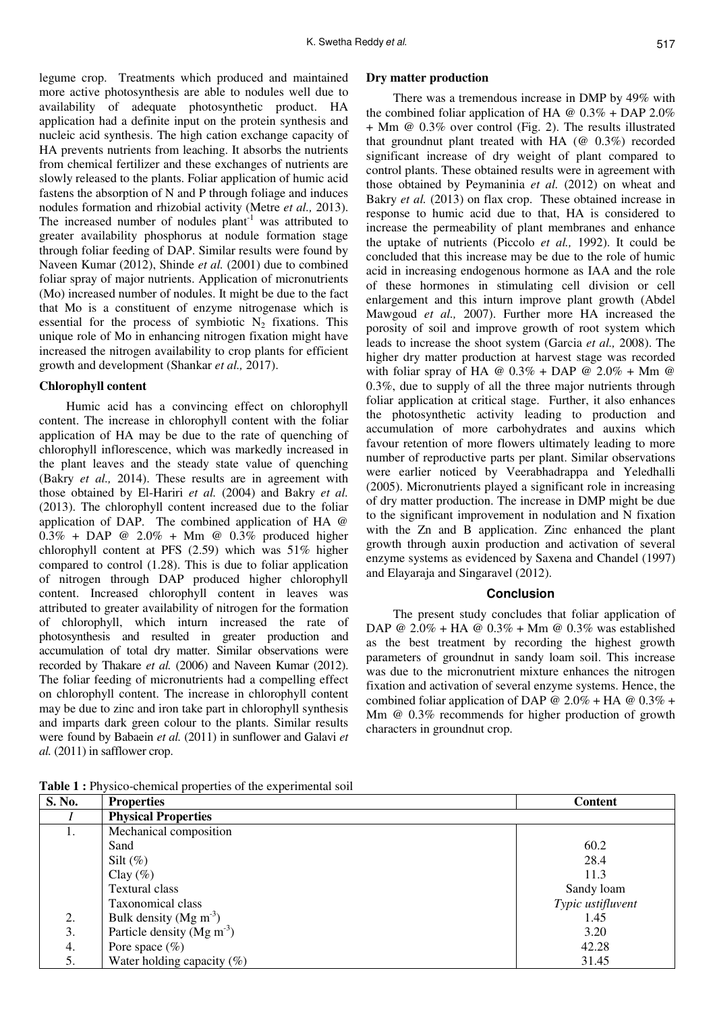legume crop. Treatments which produced and maintained more active photosynthesis are able to nodules well due to availability of adequate photosynthetic product. HA application had a definite input on the protein synthesis and nucleic acid synthesis. The high cation exchange capacity of HA prevents nutrients from leaching. It absorbs the nutrients from chemical fertilizer and these exchanges of nutrients are slowly released to the plants. Foliar application of humic acid fastens the absorption of N and P through foliage and induces nodules formation and rhizobial activity (Metre *et al.,* 2013). The increased number of nodules  $plant^{-1}$  was attributed to greater availability phosphorus at nodule formation stage through foliar feeding of DAP. Similar results were found by Naveen Kumar (2012), Shinde *et al.* (2001) due to combined foliar spray of major nutrients. Application of micronutrients (Mo) increased number of nodules. It might be due to the fact that Mo is a constituent of enzyme nitrogenase which is essential for the process of symbiotic  $N_2$  fixations. This unique role of Mo in enhancing nitrogen fixation might have increased the nitrogen availability to crop plants for efficient growth and development (Shankar *et al.,* 2017).

### **Chlorophyll content**

Humic acid has a convincing effect on chlorophyll content. The increase in chlorophyll content with the foliar application of HA may be due to the rate of quenching of chlorophyll inflorescence, which was markedly increased in the plant leaves and the steady state value of quenching (Bakry *et al.,* 2014). These results are in agreement with those obtained by El-Hariri *et al.* (2004) and Bakry *et al.*  (2013). The chlorophyll content increased due to the foliar application of DAP. The combined application of HA @  $0.3\%$  + DAP @ 2.0% + Mm @ 0.3% produced higher chlorophyll content at PFS (2.59) which was 51% higher compared to control (1.28). This is due to foliar application of nitrogen through DAP produced higher chlorophyll content. Increased chlorophyll content in leaves was attributed to greater availability of nitrogen for the formation of chlorophyll, which inturn increased the rate of photosynthesis and resulted in greater production and accumulation of total dry matter. Similar observations were recorded by Thakare *et al.* (2006) and Naveen Kumar (2012). The foliar feeding of micronutrients had a compelling effect on chlorophyll content. The increase in chlorophyll content may be due to zinc and iron take part in chlorophyll synthesis and imparts dark green colour to the plants. Similar results were found by Babaein *et al.* (2011) in sunflower and Galavi *et al.* (2011) in safflower crop.

#### **Dry matter production**

There was a tremendous increase in DMP by 49% with the combined foliar application of HA  $\omega$  0.3% + DAP 2.0% + Mm @ 0.3% over control (Fig. 2). The results illustrated that groundnut plant treated with HA  $(\mathcal{Q} \ 0.3\%)$  recorded significant increase of dry weight of plant compared to control plants. These obtained results were in agreement with those obtained by Peymaninia *et al.* (2012) on wheat and Bakry *et al.* (2013) on flax crop. These obtained increase in response to humic acid due to that, HA is considered to increase the permeability of plant membranes and enhance the uptake of nutrients (Piccolo *et al.,* 1992). It could be concluded that this increase may be due to the role of humic acid in increasing endogenous hormone as IAA and the role of these hormones in stimulating cell division or cell enlargement and this inturn improve plant growth (Abdel Mawgoud *et al.,* 2007). Further more HA increased the porosity of soil and improve growth of root system which leads to increase the shoot system (Garcia *et al.,* 2008). The higher dry matter production at harvest stage was recorded with foliar spray of HA @  $0.3\%$  + DAP @  $2.0\%$  + Mm @ 0.3%, due to supply of all the three major nutrients through foliar application at critical stage. Further, it also enhances the photosynthetic activity leading to production and accumulation of more carbohydrates and auxins which favour retention of more flowers ultimately leading to more number of reproductive parts per plant. Similar observations were earlier noticed by Veerabhadrappa and Yeledhalli (2005). Micronutrients played a significant role in increasing of dry matter production. The increase in DMP might be due to the significant improvement in nodulation and N fixation with the Zn and B application. Zinc enhanced the plant growth through auxin production and activation of several enzyme systems as evidenced by Saxena and Chandel (1997) and Elayaraja and Singaravel (2012).

### **Conclusion**

The present study concludes that foliar application of DAP @ 2.0% + HA @ 0.3% + Mm @ 0.3% was established as the best treatment by recording the highest growth parameters of groundnut in sandy loam soil. This increase was due to the micronutrient mixture enhances the nitrogen fixation and activation of several enzyme systems. Hence, the combined foliar application of DAP @  $2.0\%$  + HA @  $0.3\%$  + Mm @ 0.3% recommends for higher production of growth characters in groundnut crop.

**Table 1 :** Physico-chemical properties of the experimental soil

| S. No. | <b>Properties</b>              | <b>Content</b>    |
|--------|--------------------------------|-------------------|
|        | <b>Physical Properties</b>     |                   |
| Ι.     | Mechanical composition         |                   |
|        | Sand                           | 60.2              |
|        | Silt $(\%)$                    | 28.4              |
|        | Clay $(\% )$                   | 11.3              |
|        | Textural class                 | Sandy loam        |
|        | Taxonomical class              | Typic ustifluvent |
| 2.     | Bulk density (Mg $m^{-3}$ )    | 1.45              |
| 3.     | Particle density $(Mg m^{-3})$ | 3.20              |
| 4.     | Pore space $(\% )$             | 42.28             |
| 5.     | Water holding capacity $(\%)$  | 31.45             |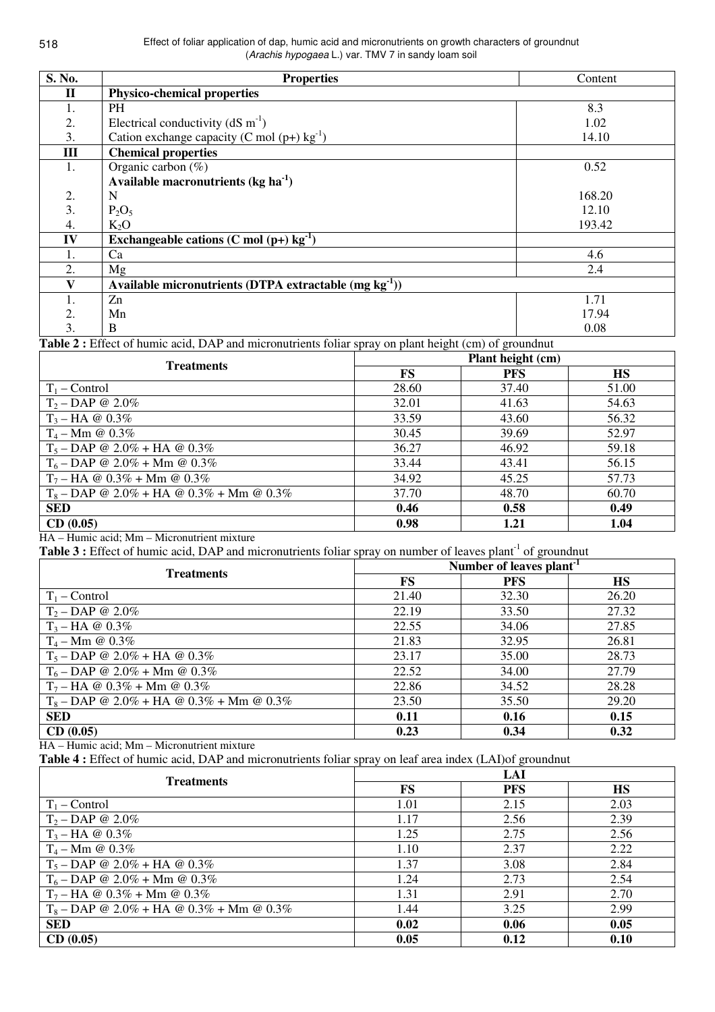| S. No.         | <b>Properties</b>                                         | Content |
|----------------|-----------------------------------------------------------|---------|
| $\mathbf H$    | <b>Physico-chemical properties</b>                        |         |
| 1.             | <b>PH</b>                                                 | 8.3     |
| 2.             | Electrical conductivity ( $dS \text{ m}^{-1}$ )           | 1.02    |
| 3.             | Cation exchange capacity (C mol $(p+)$ kg <sup>-1</sup> ) | 14.10   |
| $\mathbf{III}$ | <b>Chemical properties</b>                                |         |
| 1.             | Organic carbon $(\%)$                                     | 0.52    |
|                | Available macronutrients ( $kg \, ha^{-1}$ )              |         |
| 2.             | N                                                         | 168.20  |
| 3.             | $P_2O_5$                                                  | 12.10   |
| 4.             | $K_2O$                                                    | 193.42  |
| IV             | Exchangeable cations (C mol $(p+)$ kg <sup>-1</sup> )     |         |
| 1.             | Ca                                                        | 4.6     |
| 2.             | Mg                                                        | 2.4     |
|                | Available micronutrients (DTPA extractable $(mg kg-1)$ )  |         |
|                | Zn                                                        | 1.71    |
| 2.             | Mn                                                        | 17.94   |
| 3.             | B                                                         | 0.08    |

**Table 2 :** Effect of humic acid, DAP and micronutrients foliar spray on plant height (cm) of groundnut

| <b>Treatments</b>                          | Plant height (cm) |            |           |
|--------------------------------------------|-------------------|------------|-----------|
|                                            | FS                | <b>PFS</b> | <b>HS</b> |
| $T_1$ – Control                            | 28.60             | 37.40      | 51.00     |
| $T_2 - DAP \otimes 2.0\%$                  | 32.01             | 41.63      | 54.63     |
| $T_3 - HA \otimes 0.3\%$                   | 33.59             | 43.60      | 56.32     |
| $T_4 - Mm \; \textcircled{a} \; 0.3\%$     | 30.45             | 39.69      | 52.97     |
| $T_5 - DAP \t{0} 2.0\% + HA \t{0} 0.3\%$   | 36.27             | 46.92      | 59.18     |
| $T_6$ – DAP @ 2.0% + Mm @ 0.3%             | 33.44             | 43.41      | 56.15     |
| $T_7 - HA \tQ$ 0.3% + Mm $\tQ$ 0.3%        | 34.92             | 45.25      | 57.73     |
| $T_8$ – DAP @ 2.0% + HA @ 0.3% + Mm @ 0.3% | 37.70             | 48.70      | 60.70     |
| <b>SED</b>                                 | 0.46              | 0.58       | 0.49      |
| CD(0.05)                                   | 0.98              | 1.21       | 1.04      |

HA – Humic acid; Mm – Micronutrient mixture

Table 3 : Effect of humic acid, DAP and micronutrients foliar spray on number of leaves plant<sup>-1</sup> of groundnut

| <b>Treatments</b>                          | Number of leaves plant <sup>-1</sup> |            |           |
|--------------------------------------------|--------------------------------------|------------|-----------|
|                                            | FS                                   | <b>PFS</b> | <b>HS</b> |
| $T_1$ – Control                            | 21.40                                | 32.30      | 26.20     |
| $T_2 - DAP \t Q 2.0\%$                     | 22.19                                | 33.50      | 27.32     |
| $T_3 - HA \otimes 0.3\%$                   | 22.55                                | 34.06      | 27.85     |
| $T_4 - Mm \; \textcircled{a} \; 0.3\%$     | 21.83                                | 32.95      | 26.81     |
| $T_5 - DAP \t{0} 2.0\% + HA \t{0} 0.3\%$   | 23.17                                | 35.00      | 28.73     |
| $T_6$ – DAP @ 2.0% + Mm @ 0.3%             | 22.52                                | 34.00      | 27.79     |
| $T_7 - HA \tQ$ 0.3% + Mm $\tQ$ 0.3%        | 22.86                                | 34.52      | 28.28     |
| $T_8$ – DAP @ 2.0% + HA @ 0.3% + Mm @ 0.3% | 23.50                                | 35.50      | 29.20     |
| <b>SED</b>                                 | 0.11                                 | 0.16       | 0.15      |
| CD(0.05)                                   | 0.23                                 | 0.34       | 0.32      |

HA – Humic acid; Mm – Micronutrient mixture

**Table 4 :** Effect of humic acid, DAP and micronutrients foliar spray on leaf area index (LAI)of groundnut

| <b>Treatments</b>                          | LAI  |            |           |
|--------------------------------------------|------|------------|-----------|
|                                            | FS   | <b>PFS</b> | <b>HS</b> |
| $T_1$ – Control                            | 1.01 | 2.15       | 2.03      |
| $T_2 - DAP \t Q \t 2.0\%$                  | 1.17 | 2.56       | 2.39      |
| $T_3 - HA \otimes 0.3\%$                   | 1.25 | 2.75       | 2.56      |
| $T_4 - Mm \; @ \; 0.3\%$                   | 1.10 | 2.37       | 2.22      |
| $T_5 - DAP \t{0} 2.0\% + HA \t{0} 0.3\%$   | 1.37 | 3.08       | 2.84      |
| $T_6$ – DAP @ 2.0% + Mm @ 0.3%             | 1.24 | 2.73       | 2.54      |
| $T_7 - HA \tQ 0.3\% + Mm \tQ 0.3\%$        | 1.31 | 2.91       | 2.70      |
| $T_8$ – DAP @ 2.0% + HA @ 0.3% + Mm @ 0.3% | 1.44 | 3.25       | 2.99      |
| <b>SED</b>                                 | 0.02 | 0.06       | 0.05      |
| CD(0.05)                                   | 0.05 | 0.12       | 0.10      |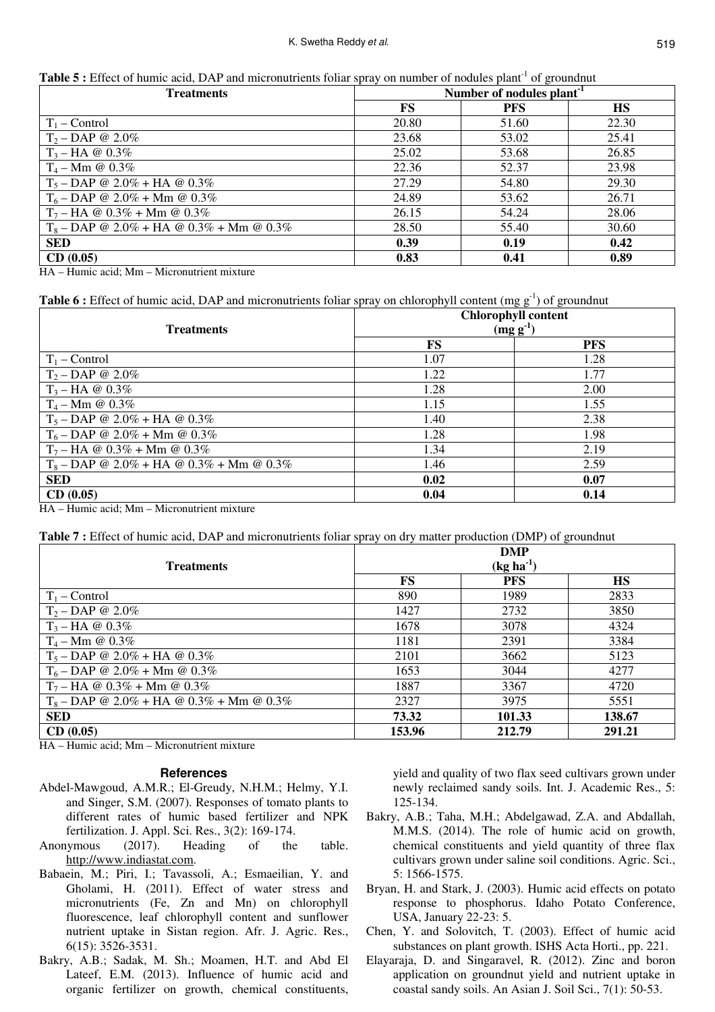| <b>Table 5</b> : Effect of humic acid, DAP and micronutrients foliar spray on number of nodules plant <sup>-1</sup> of groundnut |  |
|----------------------------------------------------------------------------------------------------------------------------------|--|
|----------------------------------------------------------------------------------------------------------------------------------|--|

| <b>Treatments</b>                          | Number of nodules plant <sup>-1</sup> |            |           |
|--------------------------------------------|---------------------------------------|------------|-----------|
|                                            | FS                                    | <b>PFS</b> | <b>HS</b> |
| $T_1$ – Control                            | 20.80                                 | 51.60      | 22.30     |
| $T_2 - DAP \t Q \t 2.0\%$                  | 23.68                                 | 53.02      | 25.41     |
| $T_3 - HA \otimes 0.3\%$                   | 25.02                                 | 53.68      | 26.85     |
| $T_4 - Mm \; @ \; 0.3\%$                   | 22.36                                 | 52.37      | 23.98     |
| $T_5 - DAP \t{0} 2.0\% + HA \t{0} 0.3\%$   | 27.29                                 | 54.80      | 29.30     |
| $T_6$ – DAP @ 2.0% + Mm @ 0.3%             | 24.89                                 | 53.62      | 26.71     |
| $T_7 - HA \tQ$ 0.3% + Mm $\tQ$ 0.3%        | 26.15                                 | 54.24      | 28.06     |
| $T_8$ – DAP @ 2.0% + HA @ 0.3% + Mm @ 0.3% | 28.50                                 | 55.40      | 30.60     |
| <b>SED</b>                                 | 0.39                                  | 0.19       | 0.42      |
| CD(0.05)                                   | 0.83                                  | 0.41       | 0.89      |

HA – Humic acid; Mm – Micronutrient mixture

# **Table 6 :** Effect of humic acid, DAP and micronutrients foliar spray on chlorophyll content (mg g<sup>-1</sup>) of groundnut

| <b>Treatments</b>                          | <b>Chlorophyll content</b><br>$(mg g-1)$ |            |  |
|--------------------------------------------|------------------------------------------|------------|--|
|                                            | FS                                       | <b>PFS</b> |  |
| $T_1$ – Control                            | 1.07                                     | 1.28       |  |
| $T_2 - DAP \otimes 2.0\%$                  | 1.22                                     | 1.77       |  |
| $T_3 - HA \otimes 0.3\%$                   | 1.28                                     | 2.00       |  |
| $T_4 - Mm \; \textcircled{a} \; 0.3\%$     | 1.15                                     | 1.55       |  |
| $T_5 - DAP \t{0} 2.0\% + HA \t{0} 0.3\%$   | 1.40                                     | 2.38       |  |
| $T_6$ – DAP @ 2.0% + Mm @ 0.3%             | 1.28                                     | 1.98       |  |
| $T_7$ – HA @ 0.3% + Mm @ 0.3%              | 1.34                                     | 2.19       |  |
| $T_8$ – DAP @ 2.0% + HA @ 0.3% + Mm @ 0.3% | 1.46                                     | 2.59       |  |
| <b>SED</b>                                 | 0.02                                     | 0.07       |  |
| CD(0.05)                                   | 0.04                                     | 0.14       |  |

HA – Humic acid; Mm – Micronutrient mixture

**Table 7 :** Effect of humic acid, DAP and micronutrients foliar spray on dry matter production (DMP) of groundnut

| <b>Treatments</b>                          | <b>DMP</b><br>$(kg ha-1)$ |            |           |
|--------------------------------------------|---------------------------|------------|-----------|
|                                            | FS                        | <b>PFS</b> | <b>HS</b> |
| $T_1$ – Control                            | 890                       | 1989       | 2833      |
| $T_2 - DAP \otimes 2.0\%$                  | 1427                      | 2732       | 3850      |
| $T_3 - HA \otimes 0.3\%$                   | 1678                      | 3078       | 4324      |
| $T_4 - Mm \; \textcircled{a} \; 0.3\%$     | 1181                      | 2391       | 3384      |
| $T_5 - DAP \t{0} 2.0\% + HA \t{0} 0.3\%$   | 2101                      | 3662       | 5123      |
| $T_6$ – DAP @ 2.0% + Mm @ 0.3%             | 1653                      | 3044       | 4277      |
| $T_7$ – HA @ 0.3% + Mm @ 0.3%              | 1887                      | 3367       | 4720      |
| $T_8$ – DAP @ 2.0% + HA @ 0.3% + Mm @ 0.3% | 2327                      | 3975       | 5551      |
| <b>SED</b>                                 | 73.32                     | 101.33     | 138.67    |
| CD(0.05)                                   | 153.96                    | 212.79     | 291.21    |

HA – Humic acid; Mm – Micronutrient mixture

### **References**

- Abdel-Mawgoud, A.M.R.; El-Greudy, N.H.M.; Helmy, Y.I. and Singer, S.M. (2007). Responses of tomato plants to different rates of humic based fertilizer and NPK fertilization. J. Appl. Sci. Res., 3(2): 169-174.
- Anonymous (2017). Heading of the table. http://www.indiastat.com.
- Babaein, M.; Piri, I.; Tavassoli, A.; Esmaeilian, Y. and Gholami, H. (2011). Effect of water stress and micronutrients (Fe, Zn and Mn) on chlorophyll fluorescence, leaf chlorophyll content and sunflower nutrient uptake in Sistan region. Afr. J. Agric. Res., 6(15): 3526-3531.
- Bakry, A.B.; Sadak, M. Sh.; Moamen, H.T. and Abd El Lateef, E.M. (2013). Influence of humic acid and organic fertilizer on growth, chemical constituents,

yield and quality of two flax seed cultivars grown under newly reclaimed sandy soils. Int. J. Academic Res., 5: 125-134.

- Bakry, A.B.; Taha, M.H.; Abdelgawad, Z.A. and Abdallah, M.M.S. (2014). The role of humic acid on growth, chemical constituents and yield quantity of three flax cultivars grown under saline soil conditions. Agric. Sci., 5: 1566-1575.
- Bryan, H. and Stark, J. (2003). Humic acid effects on potato response to phosphorus. Idaho Potato Conference, USA, January 22-23: 5.
- Chen, Y. and Solovitch, T. (2003). Effect of humic acid substances on plant growth. ISHS Acta Horti., pp. 221.
- Elayaraja, D. and Singaravel, R. (2012). Zinc and boron application on groundnut yield and nutrient uptake in coastal sandy soils. An Asian J. Soil Sci., 7(1): 50-53.